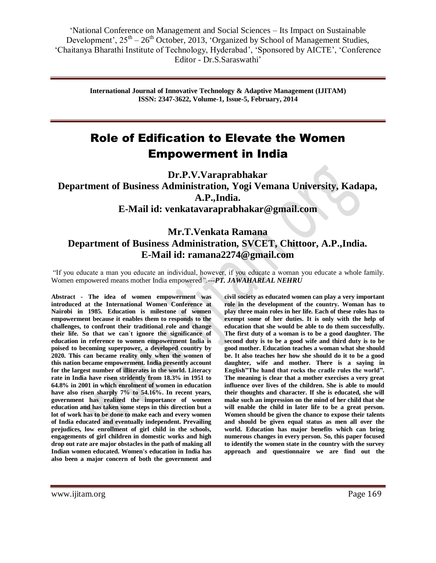> **International Journal of Innovative Technology & Adaptive Management (IJITAM) ISSN: 2347-3622, Volume-1, Issue-5, February, 2014**

# Role of Edification to Elevate the Women Empowerment in India

**Dr.P.V.Varaprabhakar Department of Business Administration, Yogi Vemana University, Kadapa, A.P.,India. E-Mail id: [venkatavaraprabhakar@gmail.com](mailto:venkatavaraprabhakar@gmail.com)**

## **Mr.T.Venkata Ramana Department of Business Administration, SVCET, Chittoor, A.P.,India. E-Mail id: [ramana2274@gmail.com](mailto:ramana2274@gmail.com)**

"If you educate a man you educate an individual, however, if you educate a woman you educate a whole family. Women empowered means mother India empowered*".---PT. JAWAHARLAL NEHRU*

**Abstract - The idea of women empowerment was introduced at the International Women Conference at Nairobi in 1985. Education is milestone of women empowerment because it enables them to responds to the challenges, to confront their traditional role and change their life. So that we can`t ignore the significance of education in reference to women empowerment India is poised to becoming superpower, a developed country by 2020. This can became reality only when the women of this nation became empowerment. India presently account for the largest number of illiterates in the world. Literacy rate in India have risen stridently from 18.3% in 1951 to 64.8% in 2001 in which enrolment of women in education have also risen sharply 7% to 54.16%. In recent years, government has realized the importance of women education and has taken some steps in this direction but a lot of work has to be done to make each and every women of India educated and eventually independent. Prevailing prejudices, low enrollment of girl child in the schools, engagements of girl children in domestic works and high drop out rate are major obstacles in the path of making all Indian women educated. Women's education in India has also been a major concern of both the government and** 

**civil society as educated women can play a very important role in the development of the country. Woman has to play three main roles in her life. Each of these roles has to exempt some of her duties. It is only with the help of education that she would be able to do them successfully. The first duty of a woman is to be a good daughter. The second duty is to be a good wife and third duty is to be good mother. Education teaches a woman what she should be. It also teaches her how she should do it to be a good daughter, wife and mother. There is a saying in English"The hand that rocks the cradle rules the world". The meaning is clear that a mother exercises a very great influence over lives of the children. She is able to mould their thoughts and character. If she is educated, she will make such an impression on the mind of her child that she will enable the child in later life to be a great person. Women should be given the chance to expose their talents and should be given equal status as men all over the world. Education has major benefits which can bring numerous changes in every person. So, this paper focused to identify the women state in the country with the survey approach and questionnaire we are find out the**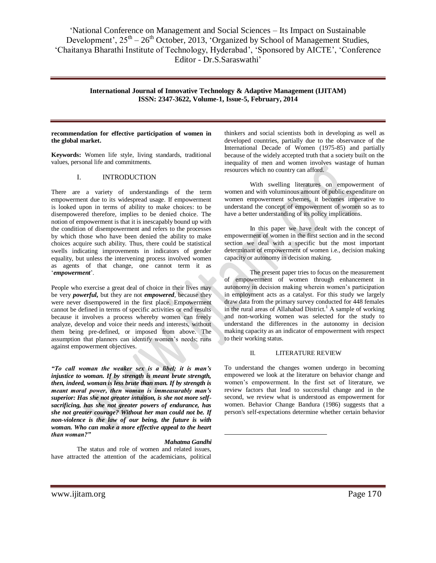> **International Journal of Innovative Technology & Adaptive Management (IJITAM) ISSN: 2347-3622, Volume-1, Issue-5, February, 2014**

#### **recommendation for effective participation of women in the global market.**

**Keywords:** Women life style, living standards, traditional values, personal life and commitments.

## I. INTRODUCTION

There are a variety of understandings of the term empowerment due to its widespread usage. If empowerment is looked upon in terms of ability to make choices: to be disempowered therefore, implies to be denied choice. The notion of empowerment is that it is inescapably bound up with the condition of disempowerment and refers to the processes by which those who have been denied the ability to make choices acquire such ability. Thus, there could be statistical swells indicating improvements in indicators of gender equality, but unless the intervening process involved women as agents of that change, one cannot term it as "*empowerment*".

People who exercise a great deal of choice in their lives may be very *powerful***,** but they are not *empowered*, because they were never disempowered in the first place. Empowerment cannot be defined in terms of specific activities or end results because it involves a process whereby women can freely analyze, develop and voice their needs and interests, without them being pre-defined, or imposed from above. The assumption that planners can identify women's needs; runs against empowerment objectives.

*"To call woman the weaker sex is a libel; it is man's injustice to woman. If by strength is meant brute strength, then, indeed, woman is less brute than man. If by strength is meant moral power, then woman is immeasurably man's superior: Has she not greater intuition, is she not more selfsacrificing, has she not greater powers of endurance, has she not greater courage? Without her man could not be. If non-violence is the law of our being, the future is with woman. Who can make a more effective appeal to the heart than woman?"*

#### *Mahatma Gandhi*

 $\overline{a}$ 

The status and role of women and related issues, have attracted the attention of the academicians, political thinkers and social scientists both in developing as well as developed countries, partially due to the observance of the International Decade of Women (1975-85) and partially because of the widely accepted truth that a society built on the inequality of men and women involves wastage of human resources which no country can afford.

With swelling literatures on empowerment of women and with voluminous amount of public expenditure on women empowerment schemes, it becomes imperative to understand the concept of empowerment of women so as to have a better understanding of its policy implications.

In this paper we have dealt with the concept of empowerment of women in the first section and in the second section we deal with a specific but the most important determinant of empowerment of women i.e., decision making capacity or autonomy in decision making.

The present paper tries to focus on the measurement of empowerment of women through enhancement in autonomy in decision making wherein women"s participation in employment acts as a catalyst. For this study we largely draw data from the primary survey conducted for 448 females in the rural areas of Allahabad District.<sup>1</sup> A sample of working and non-working women was selected for the study to understand the differences in the autonomy in decision making capacity as an indicator of empowerment with respect to their working status.

#### II. LITERATURE REVIEW

To understand the changes women undergo in becoming empowered we look at the literature on behavior change and women"s empowerment. In the first set of literature, we review factors that lead to successful change and in the second, we review what is understood as empowerment for women. Behavior Change Bandura (1986) suggests that a person's self-expectations determine whether certain behavior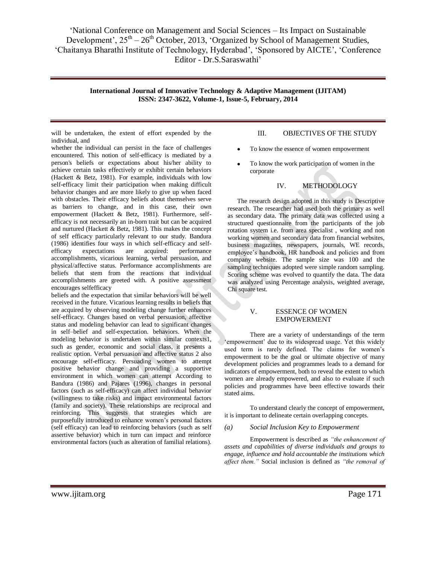> **International Journal of Innovative Technology & Adaptive Management (IJITAM) ISSN: 2347-3622, Volume-1, Issue-5, February, 2014**

will be undertaken, the extent of effort expended by the individual, and

whether the individual can persist in the face of challenges encountered. This notion of self-efficacy is mediated by a person's beliefs or expectations about his/her ability to achieve certain tasks effectively or exhibit certain behaviors (Hackett & Betz, 1981). For example, individuals with low self-efficacy limit their participation when making difficult behavior changes and are more likely to give up when faced with obstacles. Their efficacy beliefs about themselves serve as barriers to change, and in this case, their own empowerment (Hackett & Betz, 1981). Furthermore, selfefficacy is not necessarily an in-born trait but can be acquired and nurtured (Hackett & Betz, 1981). This makes the concept of self efficacy particularly relevant to our study. Bandura (1986) identifies four ways in which self-efficacy and selfefficacy expectations are acquired: performance accomplishments, vicarious learning, verbal persuasion, and physical/affective status. Performance accomplishments are beliefs that stem from the reactions that individual accomplishments are greeted with. A positive assessment encourages selfefficacy

beliefs and the expectation that similar behaviors will be well received in the future. Vicarious learning results in beliefs that are acquired by observing modeling change further enhances self-efficacy. Changes based on verbal persuasion, affective status and modeling behavior can lead to significant changes in self–belief and self-expectation. behaviors. When the modeling behavior is undertaken within similar contexts1, such as gender, economic and social class, it presents a realistic option. Verbal persuasion and affective status 2 also encourage self-efficacy. Persuading women to attempt positive behavior change and providing a supportive environment in which women can attempt According to Bandura (1986) and Pajares (1996), changes in personal factors (such as self-efficacy) can affect individual behavior (willingness to take risks) and impact environmental factors (family and society). These relationships are reciprocal and reinforcing. This suggests that strategies which are purposefully introduced to enhance women"s personal factors (self efficacy) can lead to reinforcing behaviors (such as self assertive behavior) which in turn can impact and reinforce environmental factors (such as alteration of familial relations).

## III. OBJECTIVES OF THE STUDY

- To know the essence of women empowerment
- To know the work participation of women in the corporate

## IV. METHODOLOGY

The research design adopted in this study is Descriptive research. The researcher had used both the primary as well as secondary data. The primary data was collected using a structured questionnaire from the participants of the job rotation system i.e. from area specialist , working and non working women and secondary data from financial websites, business magazines, newspapers, journals, WE records, employee"s handbook, HR handbook and policies and from company website. The sample size was 100 and the sampling techniques adopted were simple random sampling. Scoring scheme was evolved to quantify the data. The data was analyzed using Percentage analysis, weighted average, Chi square test.

## V. ESSENCE OF WOMEN EMPOWERMENT

There are a variety of understandings of the term 'empowerment' due to its widespread usage. Yet this widely used term is rarely defined. The claims for women"s empowerment to be the goal or ultimate objective of many development policies and programmes leads to a demand for indicators of empowerment, both to reveal the extent to which women are already empowered, and also to evaluate if such policies and programmes have been effective towards their stated aims.

To understand clearly the concept of empowerment, it is important to delineate certain overlapping concepts.

#### *(a) Social Inclusion Key to Empowerment*

Empowerment is described as *"the enhancement of assets and capabilities of diverse individuals and groups to engage, influence and hold accountable the institutions which affect them."* Social inclusion is defined as *"the removal of*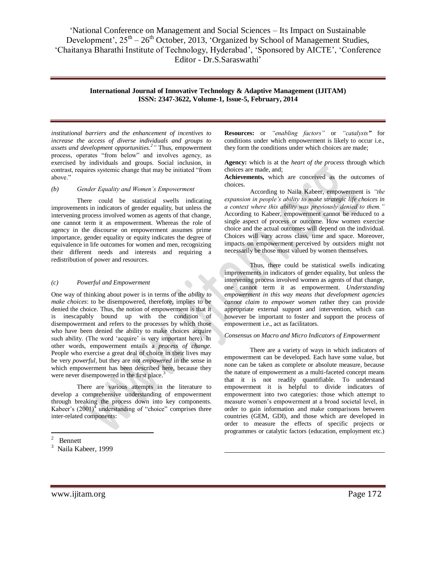## **International Journal of Innovative Technology & Adaptive Management (IJITAM) ISSN: 2347-3622, Volume-1, Issue-5, February, 2014**

1

*institutional barriers and the enhancement of incentives to increase the access of diverse individuals and groups to assets and development opportunities.<sup>2</sup> "* Thus, empowerment process, operates "from below" and involves agency, as exercised by individuals and groups. Social inclusion, in contrast, requires systemic change that may be initiated "from above."

#### *(b) Gender Equality and Women's Empowerment*

There could be statistical swells indicating improvements in indicators of gender equality, but unless the intervening process involved women as agents of that change, one cannot term it as empowerment. Whereas the role of agency in the discourse on empowerment assumes prime importance*,* gender equality or equity indicates the degree of equivalence in life outcomes for women and men, recognizing their different needs and interests and requiring a redistribution of power and resources.

#### *(c) Powerful and Empowerment*

One way of thinking about power is in terms of the *ability to make choices*: to be disempowered, therefore, implies to be denied the choice. Thus, the notion of empowerment is that it is inescapably bound up with the condition of disempowerment and refers to the processes by which those who have been denied the ability to make choices acquire such ability. (The word 'acquire' is very important here). In other words, empowerment entails a *process of change*. People who exercise a great deal of choice in their lives may be very *powerful*, but they are not *empowered* in the sense in which empowerment has been described here, because they were never disempowered in the first place.<sup>3</sup>

There are various attempts in the literature to develop a comprehensive understanding of empowerment through breaking the process down into key components. Kabeer's  $(2001)^4$  understanding of "choice" comprises three inter-related components:

**Resources:** or *"enabling factors"* or *"catalysts"* for conditions under which empowerment is likely to occur i.e., they form the conditions under which choices are made;

**Agency:** which is at the *heart of the process* through which choices are made, and;

**Achievements,** which are conceived as the outcomes of choices.

According to Naila Kabeer, empowerment is *"the expansion in people's ability to make strategic life choices in a context where this ability was previously denied to them."* According to Kabeer, empowerment cannot be reduced to a single aspect of process or outcome. How women exercise choice and the actual outcomes will depend on the individual. Choices will vary across class, time and space. Moreover, impacts on empowerment perceived by outsiders might not necessarily be those most valued by women themselves.

Thus, there could be statistical swells indicating improvements in indicators of gender equality, but unless the intervening process involved women as agents of that change, one cannot term it as empowerment. *Understanding empowerment in this way means that development agencies cannot claim to empower women* rather they can provide appropriate external support and intervention, which can however be important to foster and support the process of empowerment i.e., act as facilitators*.* 

#### *Consensus on Macro and Micro Indicators of Empowerment*

There are a variety of ways in which indicators of empowerment can be developed. Each have some value, but none can be taken as complete or absolute measure, because the nature of empowerment as a multi-faceted concept means that it is not readily quantifiable. To understand empowerment it is helpful to divide indicators of empowerment into two categories: those which attempt to measure women"s empowerment at a broad societal level, in order to gain information and make comparisons between countries (GEM, GDI), and those which are developed in order to measure the effects of specific projects or programmes or catalytic factors (education, employment etc.)

 $\frac{1}{2}$ Bennett

<sup>&</sup>lt;sup>3</sup> Naila Kabeer, 1999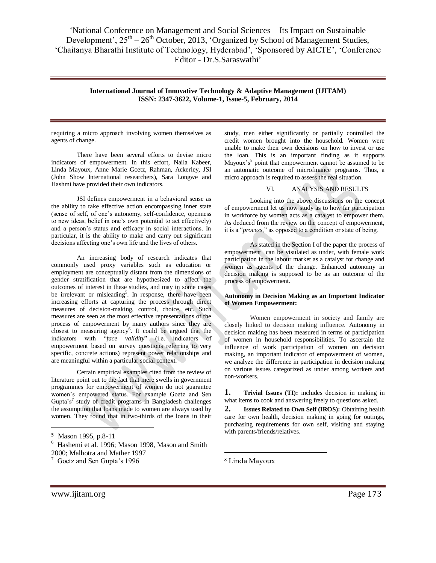> **International Journal of Innovative Technology & Adaptive Management (IJITAM) ISSN: 2347-3622, Volume-1, Issue-5, February, 2014**

requiring a micro approach involving women themselves as agents of change.

There have been several efforts to devise micro indicators of empowerment. In this effort, Naila Kabeer, Linda Mayoux, Anne Marie Goetz, Rahman, Ackerley, JSI (John Show International researchers), Sara Longwe and Hashmi have provided their own indicators.

JSI defines empowerment in a behavioral sense as the ability to take effective action encompassing inner state (sense of self, of one"s autonomy, self-confidence, openness to new ideas, belief in one"s own potential to act effectively) and a person"s status and efficacy in social interactions. In particular, it is the ability to make and carry out significant decisions affecting one's own life and the lives of others.

An increasing body of research indicates that commonly used proxy variables such as education or employment are conceptually distant from the dimensions of gender stratification that are hypothesized to affect the outcomes of interest in these studies, and may in some cases be irrelevant or misleading<sup>5</sup>. In response, there have been increasing efforts at capturing the process through direct measures of decision-making, control, choice, etc. Such measures are seen as the most effective representations of the process of empowerment by many authors since they are closest to measuring agency<sup>6</sup>. It could be argued that the indicators with "*face validity*" (i.e. indicators of empowerment based on survey questions referring to very specific, concrete actions) represent power relationships and are meaningful within a particular social context.

Certain empirical examples cited from the review of literature point out to the fact that mere swells in government programmes for empowerment of women do not guarantee women"s empowered status. For example Goetz and Sen Gupta's<sup>7</sup> study of credit programs in Bangladesh challenges the assumption that loans made to women are always used by women. They found that in two-thirds of the loans in their

 $\overline{a}$ 

study, men either significantly or partially controlled the credit women brought into the household. Women were unable to make their own decisions on how to invest or use the loan. This is an important finding as it supports Mayoux's<sup>8</sup> point that empowerment cannot be assumed to be an automatic outcome of microfinance programs. Thus, a micro approach is required to assess the real situation.

## VI. ANALYSIS AND RESULTS

Looking into the above discussions on the concept of empowerment let us now study as to how far participation in workforce by women acts as a catalyst to empower them. As deduced from the review on the concept of empowerment, it is a "*process*," as opposed to a condition or state of being.

As stated in the Section I of the paper the process of empowerment can be visulaied as under, with female work participation in the labour market as a catalyst for change and women as agents of the change. Enhanced autonomy in decision making is supposed to be as an outcome of the process of empowerment.

#### **Autonomy in Decision Making as an Important Indicator of Women Empowerment:**

Women empowerment in society and family are closely linked to decision making influence. Autonomy in decision making has been measured in terms of participation of women in household responsibilities. To ascertain the influence of work participation of women on decision making, an important indicator of empowerment of women, we analyze the difference in participation in decision making on various issues categorized as under among workers and non-workers.

**1. Trivial Issues (TI):** includes decision in making in what items to cook and answering freely to questions asked.

**2. Issues Related to Own Self (IROS):** Obtaining health care for own health, decision making in going for outings, purchasing requirements for own self, visiting and staying with parents/friends/relatives.

1

<sup>5</sup> Mason 1995, p.8-11

<sup>6</sup> Hashemi et al. 1996; Mason 1998, Mason and Smith 2000; Malhotra and Mather 1997

<sup>&</sup>lt;sup>7</sup> Goetz and Sen Gupta's 1996

<sup>8</sup> Linda Mayoux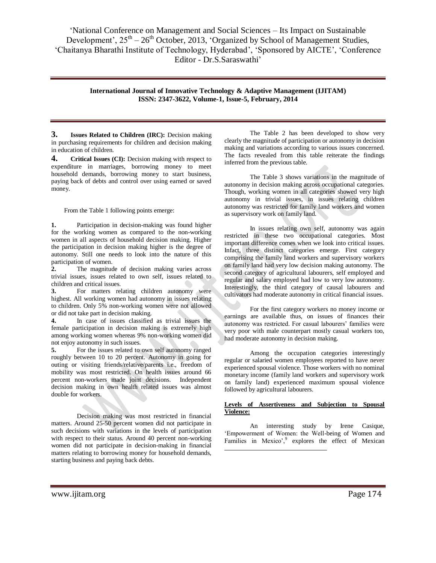> **International Journal of Innovative Technology & Adaptive Management (IJITAM) ISSN: 2347-3622, Volume-1, Issue-5, February, 2014**

> > $\overline{a}$

**3. Issues Related to Children (IRC):** Decision making in purchasing requirements for children and decision making in education of children.

**4. Critical Issues (CI):** Decision making with respect to expenditure in marriages, borrowing money to meet household demands, borrowing money to start business, paying back of debts and control over using earned or saved money.

From the Table 1 following points emerge:

**1.** Participation in decision-making was found higher for the working women as compared to the non-working women in all aspects of household decision making. Higher the participation in decision making higher is the degree of autonomy. Still one needs to look into the nature of this participation of women.

**2.** The magnitude of decision making varies across trivial issues, issues related to own self, issues related to children and critical issues.

**3.** For matters relating children autonomy were highest. All working women had autonomy in issues relating to children. Only 5% non-working women were not allowed or did not take part in decision making.

**4.** In case of issues classified as trivial issues the female participation in decision making is extremely high among working women whereas 9% non-working women did not enjoy autonomy in such issues.

**5.** For the issues related to own self autonomy ranged roughly between 10 to 20 percent. Autonomy in going for outing or visiting friends/relative/parents i.e., freedom of mobility was most restricted. On health issues around 66 percent non-workers made joint decisions. Independent decision making in own health related issues was almost double for workers.

Decision making was most restricted in financial matters. Around 25-50 percent women did not participate in such decisions with variations in the levels of participation with respect to their status. Around 40 percent non-working women did not participate in decision-making in financial matters relating to borrowing money for household demands, starting business and paying back debts.

The Table 2 has been developed to show very clearly the magnitude of participation or autonomy in decision making and variations according to various issues concerned. The facts revealed from this table reiterate the findings inferred from the previous table.

The Table 3 shows variations in the magnitude of autonomy in decision making across occupational categories. Though, working women in all categories showed very high autonomy in trivial issues, in issues relating children autonomy was restricted for family land workers and women as supervisory work on family land.

In issues relating own self, autonomy was again restricted in these two occupational categories. Most important difference comes when we look into critical issues. Infact, three distinct categories emerge. First category comprising the family land workers and supervisory workers on family land had very low decision making autonomy. The second category of agricultural labourers, self employed and regular and salary employed had low to very low autonomy. Interestingly, the third category of causal labourers and cultivators had moderate autonomy in critical financial issues.

For the first category workers no money income or earnings are available thus, on issues of finances their autonomy was restricted. For casual labourers' families were very poor with male counterpart mostly casual workers too, had moderate autonomy in decision making.

Among the occupation categories interestingly regular or salaried women employees reported to have never experienced spousal violence. Those workers with no nominal monetary income (family land workers and supervisory work on family land) experienced maximum spousal violence followed by agricultural labourers.

## **Levels of Assertiveness and Subjection to Spousal Violence:**

An interesting study by Irene Casique, "Empowerment of Women: the Well-being of Women and Families in Mexico', explores the effect of Mexican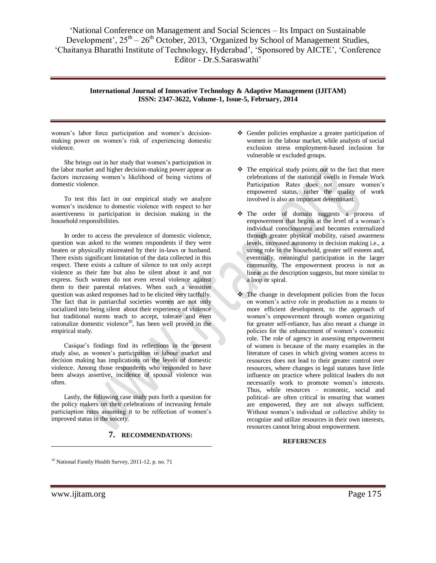## **International Journal of Innovative Technology & Adaptive Management (IJITAM) ISSN: 2347-3622, Volume-1, Issue-5, February, 2014**

women"s labor force participation and women"s decisionmaking power on women"s risk of experiencing domestic violence.

She brings out in her study that women"s participation in the labor market and higher decision-making power appear as factors increasing women"s likelihood of being victims of domestic violence.

To test this fact in our empirical study we analyze women"s incidence to domestic violence with respect to her assertiveness in participation in decision making in the household responsibilities.

In order to access the prevalence of domestic violence, question was asked to the women respondents if they were beaten or physically mistreated by their in-laws or husband. There exists significant limitation of the data collected in this respect. There exists a culture of silence to not only accept violence as their fate but also be silent about it and not express. Such women do not even reveal violence against them to their parental relatives. When such a sensitive question was asked responses had to be elicited very tactfully. The fact that in patriarchal societies women are not only socialized into being silent about their experience of violence but traditional norms teach to accept, tolerate and even rationalize domestic violence<sup>10</sup>, has been well proved in the empirical study.

Casique"s findings find its reflections in the present study also, as women"s participation in labour market and decision making has implications on the levels of domestic violence. Among those respondents who responded to have been always assertive, incidence of spousal violence was often.

Lastly, the following case study puts forth a question for the policy makers on their celebrations of increasing female particiaption rates assuming it to be relfection of women"s improved status in the soicety.

## **7. RECOMMENDATIONS:**

- Gender policies emphasize a greater participation of women in the labour market, while analysts of social exclusion stress employment-based inclusion for vulnerable or excluded groups.
- $\hat{\cdot}$  The empirical study points out to the fact that mere celebrations of the statistical swells in Female Work Participation Rates does not ensure women"s empowered status, rather the quality of work involved is also an important determinant.
- The order of domain suggests a process of empowerment that begins at the level of a woman"s individual consciousness and becomes externalized through greater physical mobility, raised awareness levels, increased autonomy in decision making i.e., a strong role in the household, greater self esteem and, eventually, meaningful participation in the larger community. The empowerment process is not as linear as the description suggests, but more similar to a loop or spiral.
- The change in development policies from the focus on women"s active role in production as a means to more efficient development, to the approach of women"s empowerment through women organizing for greater self-reliance, has also meant a change in policies for the enhancement of women"s economic role. The role of agency in assessing empowerment of women is because of the many examples in the literature of cases in which giving women access to resources does not lead to their greater control over resources, where changes in legal statutes have little influence on practice where political leaders do not necessarily work to promote women"s interests. Thus, while resources – economic, social and political- are often critical in ensuring that women are empowered, they are not always sufficient. Without women"s individual or collective ability to recognize and utilize resources in their own interests, resources cannot bring about empowerment.

## **REFERENCES**

<sup>10</sup> National Family Health Survey, 2011-12, p. no. 71

 $\overline{a}$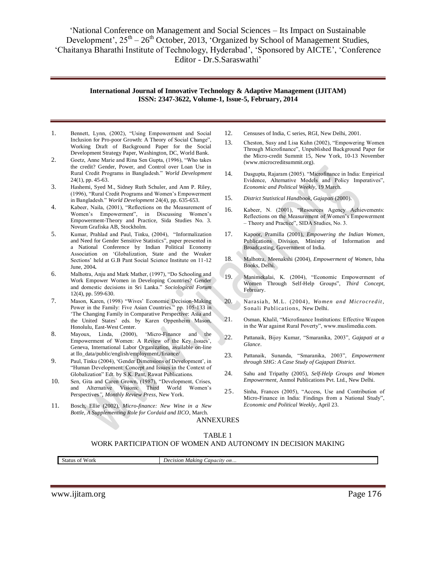## **International Journal of Innovative Technology & Adaptive Management (IJITAM) ISSN: 2347-3622, Volume-1, Issue-5, February, 2014**

- 1. Bennett, Lynn, (2002), "Using Empowerment and Social Inclusion for Pro-poor Growth: A Theory of Social Change", Working Draft of Background Paper for the Social Development Strategy Paper, Washington, DC, World Bank.
- 2. Goetz, Anne Marie and Rina Sen Gupta, (1996), "Who takes the credit? Gender, Power, and Control over Loan Use in Rural Credit Programs in Bangladesh." *World Development*  24(1), pp. 45-63.
- 3. Hashemi, Syed M., Sidney Ruth Schuler, and Ann P. Riley, (1996), "Rural Credit Programs and Women"s Empowerment in Bangladesh." *World Development* 24(4), pp. 635-653.
- 4. Kabeer, Naila, (2001), "Reflections on the Measurement of Women"s Empowerment", in Discussing Women"s Empowerment-Theory and Practice, Sida Studies No. 3. Novum Grafiska AB, Stockholm.
- 5. Kumar, Prahlad and Paul, Tinku, (2004), "Informalization and Need for Gender Sensitive Statistics", paper presented in a National Conference by Indian Political Economy Association on "Globalization, State and the Weaker Sections' held at G.B Pant Social Science Institute on 11-12 June, 2004*.*
- 6. Malhotra, Anju and Mark Mather, (1997), "Do Schooling and Work Empower Women in Developing Countries? Gender and domestic decisions in Sri Lanka." *Sociological Forum*  12(4), pp. 599-630.
- 7. Mason, Karen, (1998) "Wives" Economic Decision-Making Power in the Family: Five Asian Countries." pp. 105-133 in 'The Changing Family in Comparative Perspective: Asia and the United States' eds. by Karen Oppenheim Mason, Honolulu, East-West Center.
- 8. Mayoux, Linda, (2000), "Micro-Finance and the Empowerment of Women: A Review of the Key Issues', Geneva, International Labor Organization, available on-line at Ilo\_data/public/english/employment,/finance/
- 9. Paul, Tinku (2004), 'Gender Dimensions of Development', in "Human Development: Concept and Issues in the Context of Globalization" Edt. by S.K. Pant, Rawat Publications.
- 10. Sen, Gita and Caren Grown, (1987), "Development, Crises, and Alternative Visions: Third World Women"s Perspectives*", Monthly Review Press*, New York.
- 11. Bosch, Ellie (2002), *Micro-finance: New Wine in a New Bottle, A Supplementing Role for Cordaid and IICO*, March.
- 12. Censuses of India, C series, RGI, New Delhi, 2001.
- 13. Cheston, Susy and Lisa Kuhn (2002), "Empowering Women Through Microfinance", Unpublished Background Paper for the Micro-credit Summit 15, New York, 10-13 November (www.microcreditsummit.org).
- 14. Dasgupta, Rajaram (2005). "Microfinance in India: Empirical Evidence, Alternative Models and Policy Imperatives", *Economic and Political Weekly*, 19 March.
- 15. *District Statistical Handbook, Gajapati* (2000).
- 16. Kabeer, N. (2001), "Resources Agency Achievements: Reflections on the Measurement of Women"s Empowerment – Theory and Practice", SIDA Studies, No. 3.
- 17. Kapoor, Pramilla (2001), *Empowering the Indian Women*, Publications Division, Ministry of Information and Broadcasting, Government of India.
- 18. Malhotra, Meenakshi (2004), *Empowerment of Women*, Isha Books, Delhi.
- 19. Manimekalai, K. (2004), "Economic Empowerment of Women Through Self-Help Groups", *Third Concept*, February.
- 20. Narasiah, M.L. (2004), *Women and Microcredit*, Sonali Publications, New Delhi.
- 21. Osman, Khalil, "Microfinance Institutions: Effective Weapon in the War against Rural Poverty", www.muslimedia.com.
- 22. Pattanaik, Bijoy Kumar, "Smaranika, 2003", *Gajapati at a Glance*.
- 23. Pattanaik, Sunanda, "Smaranika, 2003", *Empowerment through SHG: A Case Study of Gajapati District*.
- 24. Sahu and Tripathy (2005), *Self-Help Groups and Women Empowerment*, Anmol Publications Pvt. Ltd., New Delhi.
- 25. Sinha, Frances (2005), "Access, Use and Contribution of Micro-Finance in India: Findings from a National Study", *Economic and Political Weekly*, April 23.

## ANNEXURES TABLE 1

## WORK PARTICIPATION OF WOMEN AND AUTONOMY IN DECISION MAKING

Status of Work *Decision Making Capacity on*.

www.ijitam.org Page 176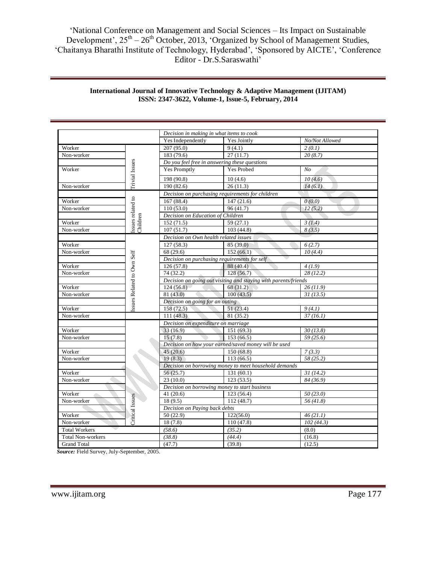|                          |                           | Decision in making in what items to cook                          |                                                  |                |  |  |  |  |  |  |
|--------------------------|---------------------------|-------------------------------------------------------------------|--------------------------------------------------|----------------|--|--|--|--|--|--|
|                          |                           | Yes Independently                                                 | Yes Jointly                                      | No/Not Allowed |  |  |  |  |  |  |
| Worker                   |                           | 207(95.0)                                                         | 9(4.1)                                           | 2(0.1)         |  |  |  |  |  |  |
| Non-worker               |                           | 183 (79.6)                                                        | 27(11.7)                                         | 20(8.7)        |  |  |  |  |  |  |
|                          |                           | Do you feel free in answering these questions                     |                                                  |                |  |  |  |  |  |  |
| Worker                   | Trivial Issues            | <b>Yes Promptly</b>                                               | <b>Yes Probed</b>                                | N <sub>O</sub> |  |  |  |  |  |  |
|                          |                           | 198 (90.8)                                                        | 10(4.6)                                          | 10(4.6)        |  |  |  |  |  |  |
| Non-worker               |                           | 190 (82.6)                                                        | 26(11.3)                                         | 14(6.1)        |  |  |  |  |  |  |
|                          |                           |                                                                   | Decision on purchasing requirements for children |                |  |  |  |  |  |  |
| Worker                   |                           |                                                                   | 167(88.4)<br>147(21.6)                           |                |  |  |  |  |  |  |
| Non-worker               |                           | 110(53.0)                                                         | 96(41.7)                                         |                |  |  |  |  |  |  |
|                          |                           | Decision on Education of Children                                 |                                                  |                |  |  |  |  |  |  |
| Worker                   | ssues related to          | 152 (71.5)<br>59(27.1)                                            |                                                  | 3(1.4)         |  |  |  |  |  |  |
| Non-worker               | Children                  | 107(51.7)                                                         | 103(44.8)                                        | 8(3.5)         |  |  |  |  |  |  |
|                          |                           |                                                                   | Decision on Own health related issues            |                |  |  |  |  |  |  |
| Worker                   |                           | 127(58.3)                                                         | 85 (39.0)                                        | 6(2.7)         |  |  |  |  |  |  |
| Non-worker               |                           | 68 (29.6)                                                         | 152(66.1)                                        | 10(4.4)        |  |  |  |  |  |  |
|                          |                           | Decision on purchasing requirements for self                      |                                                  |                |  |  |  |  |  |  |
| Worker                   | ssues Related to Own Self | 126(57.8)                                                         | 88 (40.4)                                        | 4(1.9)         |  |  |  |  |  |  |
| Non-worker               |                           | 74 (32.2)                                                         | 128(56.7)                                        | 28(12.2)       |  |  |  |  |  |  |
|                          |                           | Decision on going out visiting and staying with parents/friends   |                                                  |                |  |  |  |  |  |  |
| Worker                   |                           | 124(56.8)                                                         | 68 (31.2)                                        |                |  |  |  |  |  |  |
| Non-worker               |                           | 81 (43.0)                                                         | 100(43.5)                                        | 31(13.5)       |  |  |  |  |  |  |
|                          |                           | Decision on going for an outing                                   |                                                  |                |  |  |  |  |  |  |
| Worker                   |                           | 158 (72.5)                                                        | 51(23.4)                                         | 9(4.1)         |  |  |  |  |  |  |
| Non-worker               |                           | 111(48.3)                                                         | 81 (35.2)                                        | 37(16.1)       |  |  |  |  |  |  |
|                          |                           | Decision on expenditure on marriage                               |                                                  |                |  |  |  |  |  |  |
| Worker                   |                           | 33(16.9)                                                          | 151 (69.3)                                       | 30(13.8)       |  |  |  |  |  |  |
| Non-worker               |                           | 15(7.8)                                                           | 59(25.6)                                         |                |  |  |  |  |  |  |
|                          |                           | 153(66.5)<br>Decision on how your earned/saved money will be used |                                                  |                |  |  |  |  |  |  |
| Worker                   |                           | 45(20.6)                                                          | 150 (68.8)                                       | 7(3.3)         |  |  |  |  |  |  |
| Non-worker               |                           | 19(8.3)                                                           | 113(66.5)                                        | 58 (25.2)      |  |  |  |  |  |  |
|                          |                           | Decision on borrowing money to meet household demands             |                                                  |                |  |  |  |  |  |  |
| Worker                   |                           | 56 (25.7)                                                         | 131(60.1)                                        | 31(14.2)       |  |  |  |  |  |  |
| Non-worker               |                           | 23(10.0)                                                          | 123(53.5)                                        |                |  |  |  |  |  |  |
|                          |                           |                                                                   | Decision on borrowing money to start business    |                |  |  |  |  |  |  |
| Worker<br>a.             |                           | 41(20.6)                                                          | 123(56.4)                                        | 50(23.0)       |  |  |  |  |  |  |
| Non-worker               | <b>Critical Issues</b>    | 18 (9.5)                                                          | 112(48.7)                                        | 56(41.8)       |  |  |  |  |  |  |
|                          |                           |                                                                   | Decision on Paying back debts                    |                |  |  |  |  |  |  |
| Worker                   |                           | 50(22.9)                                                          | 122(56.0)                                        | 46(21.1)       |  |  |  |  |  |  |
| Non-worker               |                           | 18(7.8)                                                           | 110(47.8)                                        | 102(44.3)      |  |  |  |  |  |  |
| <b>Total Workers</b>     |                           | (58.6)                                                            | (35.2)                                           | (8.0)          |  |  |  |  |  |  |
| <b>Total Non-workers</b> |                           | (38.8)                                                            | (44.4)                                           | (16.8)         |  |  |  |  |  |  |
| <b>Grand Total</b>       |                           | (47.7)                                                            | (39.8)                                           | (12.5)         |  |  |  |  |  |  |

## **International Journal of Innovative Technology & Adaptive Management (IJITAM) ISSN: 2347-3622, Volume-1, Issue-5, February, 2014**

 *Source:* Field Survey, July-September, 2005.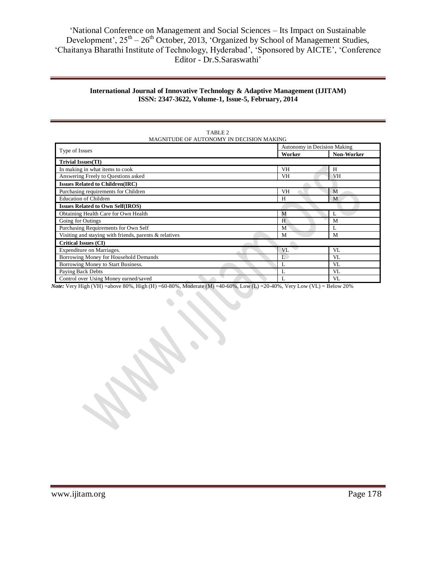## **International Journal of Innovative Technology & Adaptive Management (IJITAM) ISSN: 2347-3622, Volume-1, Issue-5, February, 2014**

| MAGNITUDE OF AUTONOMY IN DECISION MAKING               |                             |                   |  |  |  |  |  |  |  |
|--------------------------------------------------------|-----------------------------|-------------------|--|--|--|--|--|--|--|
|                                                        | Autonomy in Decision Making |                   |  |  |  |  |  |  |  |
| Type of Issues                                         | Worker                      | <b>Non-Worker</b> |  |  |  |  |  |  |  |
| <b>Trivial Issues(TI)</b>                              |                             |                   |  |  |  |  |  |  |  |
| In making in what items to cook                        | <b>VH</b>                   | H                 |  |  |  |  |  |  |  |
| Answering Freely to Questions asked                    | <b>VH</b>                   | VH                |  |  |  |  |  |  |  |
| <b>Issues Related to Children(IRC)</b>                 |                             |                   |  |  |  |  |  |  |  |
| Purchasing requirements for Children                   | <b>VH</b>                   | M                 |  |  |  |  |  |  |  |
| <b>Education of Children</b>                           | H                           | M                 |  |  |  |  |  |  |  |
| <b>Issues Related to Own Self(IROS)</b>                |                             |                   |  |  |  |  |  |  |  |
| Obtaining Health Care for Own Health                   | M                           | L                 |  |  |  |  |  |  |  |
| Going for Outings                                      | H                           | M                 |  |  |  |  |  |  |  |
| Purchasing Requirements for Own Self                   | M                           | L                 |  |  |  |  |  |  |  |
| Visiting and staying with friends, parents & relatives | M                           | M                 |  |  |  |  |  |  |  |
| <b>Critical Issues (CI)</b>                            |                             |                   |  |  |  |  |  |  |  |
| Expenditure on Marriages.                              | VL                          | VL                |  |  |  |  |  |  |  |
| Borrowing Money for Household Demands                  | L                           | VL                |  |  |  |  |  |  |  |
| Borrowing Money to Start Business.                     | L                           | VL                |  |  |  |  |  |  |  |
| Paying Back Debts                                      | L                           | VL                |  |  |  |  |  |  |  |
| Control over Using Money earned/saved                  | L                           | VL                |  |  |  |  |  |  |  |

TABLE 2

*Note:* Very High (VH) =above 80%, High (H) =60-80%, Moderate (M) =40-60%, Low (L) =20-40%, Very Low (VL) = Below 20%